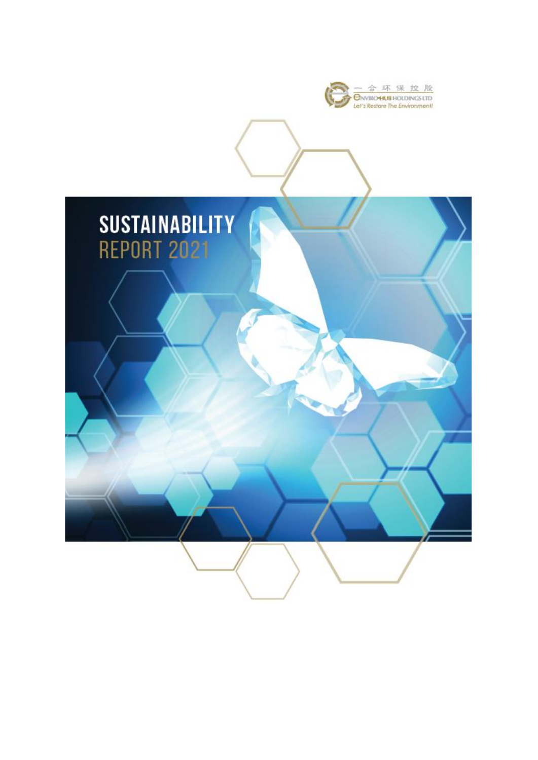

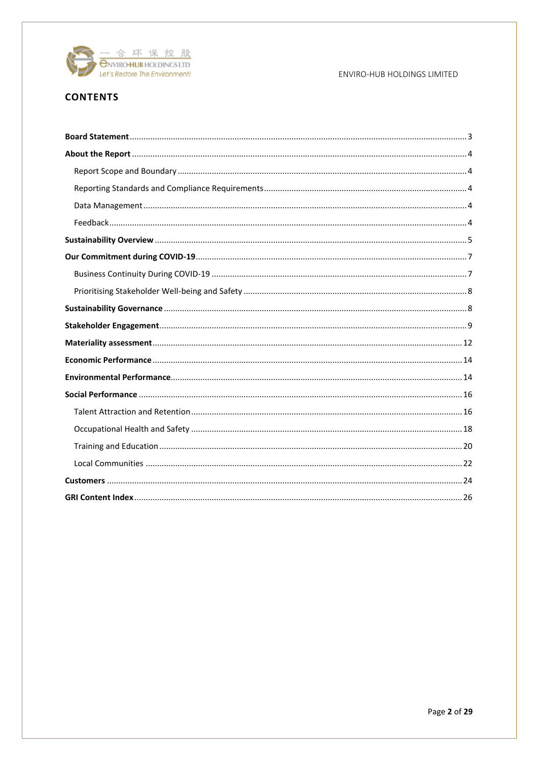

## **CONTENTS**

## ENVIRO-HUB HOLDINGS LIMITED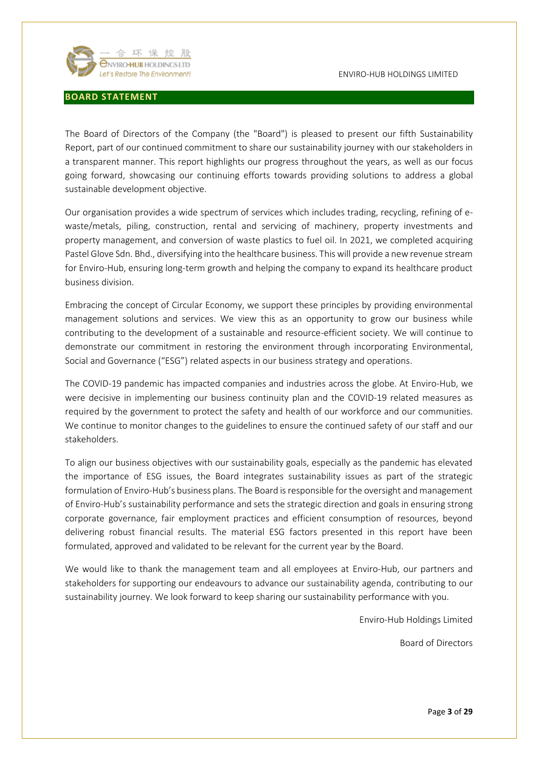

#### <span id="page-2-0"></span>**BOARD STATEMENT**

The Board of Directors of the Company (the "Board") is pleased to present our fifth Sustainability Report, part of our continued commitment to share our sustainability journey with our stakeholders in a transparent manner. This report highlights our progress throughout the years, as well as our focus going forward, showcasing our continuing efforts towards providing solutions to address a global sustainable development objective.

Our organisation provides a wide spectrum of services which includes trading, recycling, refining of ewaste/metals, piling, construction, rental and servicing of machinery, property investments and property management, and conversion of waste plastics to fuel oil. In 2021, we completed acquiring Pastel Glove Sdn. Bhd., diversifying into the healthcare business. This will provide a new revenue stream for Enviro-Hub, ensuring long-term growth and helping the company to expand its healthcare product business division.

Embracing the concept of Circular Economy, we support these principles by providing environmental management solutions and services. We view this as an opportunity to grow our business while contributing to the development of a sustainable and resource-efficient society. We will continue to demonstrate our commitment in restoring the environment through incorporating Environmental, Social and Governance ("ESG") related aspects in our business strategy and operations.

The COVID-19 pandemic has impacted companies and industries across the globe. At Enviro-Hub, we were decisive in implementing our business continuity plan and the COVID-19 related measures as required by the government to protect the safety and health of our workforce and our communities. We continue to monitor changes to the guidelines to ensure the continued safety of our staff and our stakeholders.

To align our business objectives with our sustainability goals, especially as the pandemic has elevated the importance of ESG issues, the Board integrates sustainability issues as part of the strategic formulation of Enviro-Hub's business plans. The Board is responsible for the oversight and management of Enviro-Hub's sustainability performance and sets the strategic direction and goals in ensuring strong corporate governance, fair employment practices and efficient consumption of resources, beyond delivering robust financial results. The material ESG factors presented in this report have been formulated, approved and validated to be relevant for the current year by the Board.

We would like to thank the management team and all employees at Enviro-Hub, our partners and stakeholders for supporting our endeavours to advance our sustainability agenda, contributing to our sustainability journey. We look forward to keep sharing our sustainability performance with you.

Enviro-Hub Holdings Limited

Board of Directors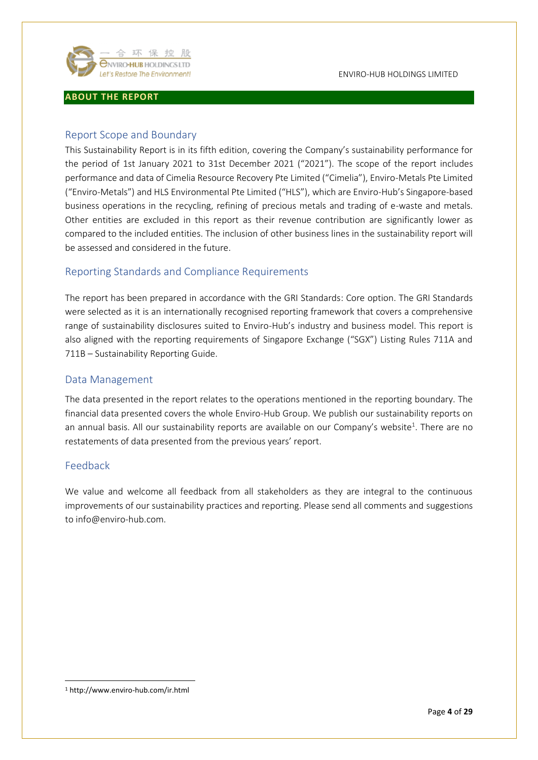

## <span id="page-3-0"></span>**ABOUT THE REPORT**

## <span id="page-3-1"></span>Report Scope and Boundary

This Sustainability Report is in its fifth edition, covering the Company's sustainability performance for the period of 1st January 2021 to 31st December 2021 ("2021"). The scope of the report includes performance and data of Cimelia Resource Recovery Pte Limited ("Cimelia"), Enviro-Metals Pte Limited ("Enviro-Metals") and HLS Environmental Pte Limited ("HLS"), which are Enviro-Hub's Singapore-based business operations in the recycling, refining of precious metals and trading of e-waste and metals. Other entities are excluded in this report as their revenue contribution are significantly lower as compared to the included entities. The inclusion of other business lines in the sustainability report will be assessed and considered in the future.

## <span id="page-3-2"></span>Reporting Standards and Compliance Requirements

The report has been prepared in accordance with the GRI Standards: Core option. The GRI Standards were selected as it is an internationally recognised reporting framework that covers a comprehensive range of sustainability disclosures suited to Enviro-Hub's industry and business model. This report is also aligned with the reporting requirements of Singapore Exchange ("SGX") Listing Rules 711A and 711B – Sustainability Reporting Guide.

## <span id="page-3-3"></span>Data Management

The data presented in the report relates to the operations mentioned in the reporting boundary. The financial data presented covers the whole Enviro-Hub Group. We publish our sustainability reports on an annual basis. All our sustainability reports are available on our Company's website<sup>1</sup>. There are no restatements of data presented from the previous years' report.

## <span id="page-3-4"></span>Feedback

We value and welcome all feedback from all stakeholders as they are integral to the continuous improvements of our sustainability practices and reporting. Please send all comments and suggestions to info@enviro-hub.com.

<sup>1</sup> <http://www.enviro-hub.com/ir.html>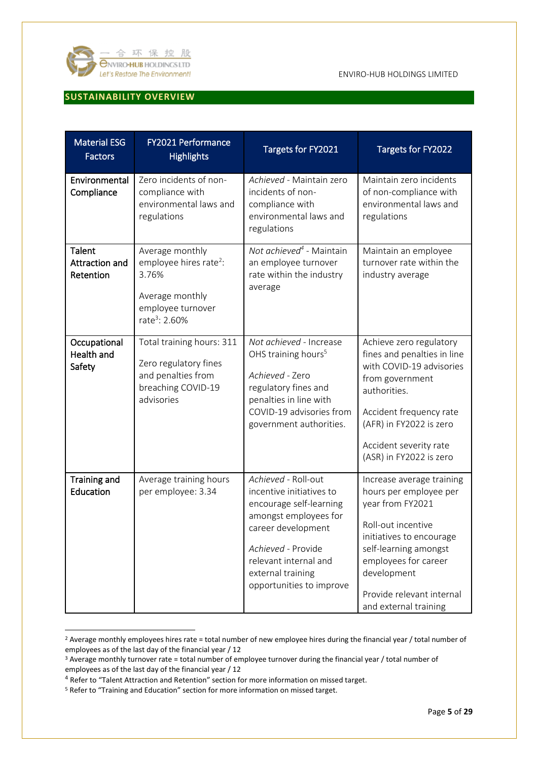

## <span id="page-4-0"></span>**SUSTAINABILITY OVERVIEW**

| <b>Material ESG</b><br><b>Factors</b>       | FY2021 Performance<br><b>Highlights</b>                                                                                             | Targets for FY2021                                                                                                                                                                                                        | Targets for FY2022                                                                                                                                                                                                                              |
|---------------------------------------------|-------------------------------------------------------------------------------------------------------------------------------------|---------------------------------------------------------------------------------------------------------------------------------------------------------------------------------------------------------------------------|-------------------------------------------------------------------------------------------------------------------------------------------------------------------------------------------------------------------------------------------------|
| Environmental<br>Compliance                 | Zero incidents of non-<br>compliance with<br>environmental laws and<br>regulations                                                  | Achieved - Maintain zero<br>incidents of non-<br>compliance with<br>environmental laws and<br>regulations                                                                                                                 | Maintain zero incidents<br>of non-compliance with<br>environmental laws and<br>regulations                                                                                                                                                      |
| Talent<br>Attraction and<br>Retention       | Average monthly<br>employee hires rate <sup>2</sup> :<br>3.76%<br>Average monthly<br>employee turnover<br>rate <sup>3</sup> : 2.60% | Not achieved <sup>4</sup> - Maintain<br>an employee turnover<br>rate within the industry<br>average                                                                                                                       | Maintain an employee<br>turnover rate within the<br>industry average                                                                                                                                                                            |
| Occupational<br><b>Health and</b><br>Safety | Total training hours: 311<br>Zero regulatory fines<br>and penalties from<br>breaching COVID-19<br>advisories                        | Not achieved - Increase<br>OHS training hours <sup>5</sup><br>Achieved - Zero<br>regulatory fines and<br>penalties in line with<br>COVID-19 advisories from<br>government authorities.                                    | Achieve zero regulatory<br>fines and penalties in line<br>with COVID-19 advisories<br>from government<br>authorities.<br>Accident frequency rate<br>(AFR) in FY2022 is zero<br>Accident severity rate<br>(ASR) in FY2022 is zero                |
| <b>Training and</b><br>Education            | Average training hours<br>per employee: 3.34                                                                                        | Achieved - Roll-out<br>incentive initiatives to<br>encourage self-learning<br>amongst employees for<br>career development<br>Achieved - Provide<br>relevant internal and<br>external training<br>opportunities to improve | Increase average training<br>hours per employee per<br>year from FY2021<br>Roll-out incentive<br>initiatives to encourage<br>self-learning amongst<br>employees for career<br>development<br>Provide relevant internal<br>and external training |

<sup>&</sup>lt;sup>2</sup> Average monthly employees hires rate = total number of new employee hires during the financial year / total number of employees as of the last day of the financial year / 12

<sup>3</sup> Average monthly turnover rate = total number of employee turnover during the financial year / total number of employees as of the last day of the financial year / 12

<sup>4</sup> Refer to "Talent Attraction and Retention" section for more information on missed target.

<sup>5</sup> Refer to "Training and Education" section for more information on missed target.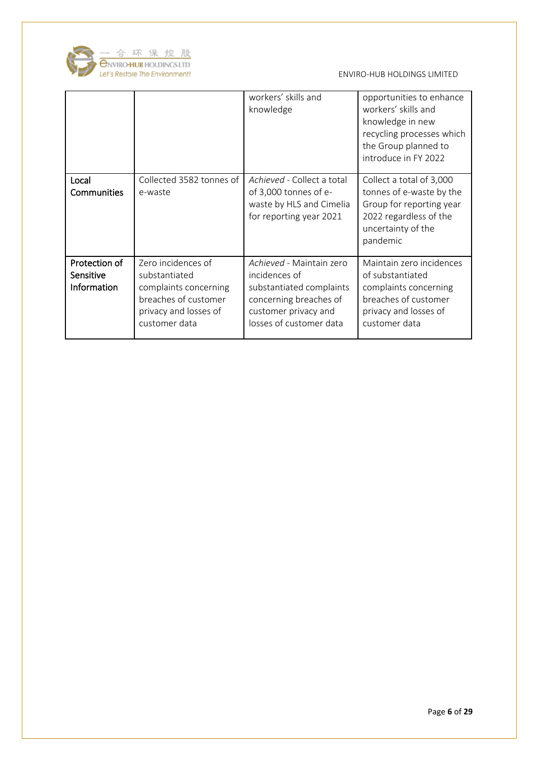

|                                                  |                                                                                                                                | workers' skills and<br>knowledge                                                                                                                   | opportunities to enhance<br>workers' skills and<br>knowledge in new<br>recycling processes which<br>the Group planned to<br>introduce in FY 2022 |
|--------------------------------------------------|--------------------------------------------------------------------------------------------------------------------------------|----------------------------------------------------------------------------------------------------------------------------------------------------|--------------------------------------------------------------------------------------------------------------------------------------------------|
| Local<br>Communities                             | Collected 3582 tonnes of<br>e-waste                                                                                            | Achieved - Collect a total<br>of 3,000 tonnes of e-<br>waste by HLS and Cimelia<br>for reporting year 2021                                         | Collect a total of 3,000<br>tonnes of e-waste by the<br>Group for reporting year<br>2022 regardless of the<br>uncertainty of the<br>pandemic     |
| Protection of<br>Sensitive<br><b>Information</b> | Zero incidences of<br>substantiated<br>complaints concerning<br>breaches of customer<br>privacy and losses of<br>customer data | Achieved - Maintain zero<br>incidences of<br>substantiated complaints<br>concerning breaches of<br>customer privacy and<br>losses of customer data | Maintain zero incidences<br>of substantiated<br>complaints concerning<br>breaches of customer<br>privacy and losses of<br>customer data          |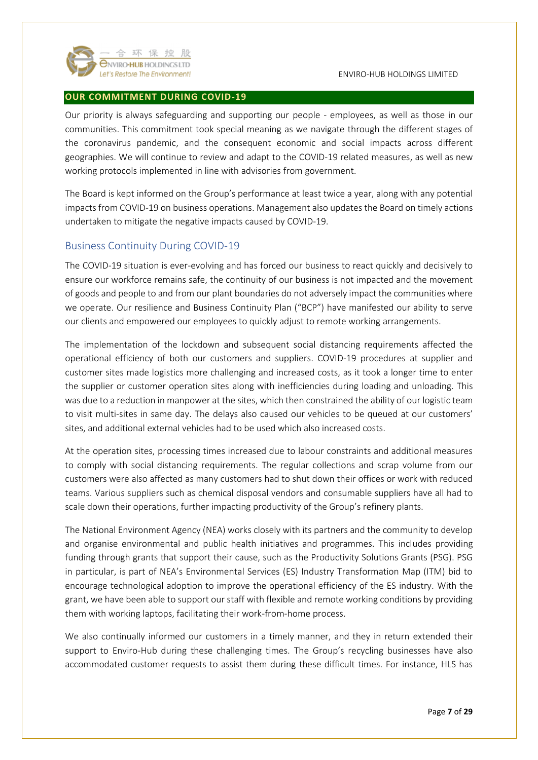

#### <span id="page-6-0"></span>**OUR COMMITMENT DURING COVID-19**

Our priority is always safeguarding and supporting our people - employees, as well as those in our communities. This commitment took special meaning as we navigate through the different stages of the coronavirus pandemic, and the consequent economic and social impacts across different geographies. We will continue to review and adapt to the COVID-19 related measures, as well as new working protocols implemented in line with advisories from government.

The Board is kept informed on the Group's performance at least twice a year, along with any potential impacts from COVID-19 on business operations. Management also updates the Board on timely actions undertaken to mitigate the negative impacts caused by COVID-19.

## <span id="page-6-1"></span>Business Continuity During COVID-19

The COVID-19 situation is ever-evolving and has forced our business to react quickly and decisively to ensure our workforce remains safe, the continuity of our business is not impacted and the movement of goods and people to and from our plant boundaries do not adversely impact the communities where we operate. Our resilience and Business Continuity Plan ("BCP") have manifested our ability to serve our clients and empowered our employees to quickly adjust to remote working arrangements.

The implementation of the lockdown and subsequent social distancing requirements affected the operational efficiency of both our customers and suppliers. COVID-19 procedures at supplier and customer sites made logistics more challenging and increased costs, as it took a longer time to enter the supplier or customer operation sites along with inefficiencies during loading and unloading. This was due to a reduction in manpower at the sites, which then constrained the ability of our logistic team to visit multi-sites in same day. The delays also caused our vehicles to be queued at our customers' sites, and additional external vehicles had to be used which also increased costs.

At the operation sites, processing times increased due to labour constraints and additional measures to comply with social distancing requirements. The regular collections and scrap volume from our customers were also affected as many customers had to shut down their offices or work with reduced teams. Various suppliers such as chemical disposal vendors and consumable suppliers have all had to scale down their operations, further impacting productivity of the Group's refinery plants.

The National Environment Agency (NEA) works closely with its partners and the community to develop and organise environmental and public health initiatives and programmes. This includes providing funding through grants that support their cause, such as the Productivity Solutions Grants (PSG). PSG in particular, is part of NEA's Environmental Services (ES) Industry Transformation Map (ITM) bid to encourage technological adoption to improve the operational efficiency of the ES industry. With the grant, we have been able to support our staff with flexible and remote working conditions by providing them with working laptops, facilitating their work-from-home process.

We also continually informed our customers in a timely manner, and they in return extended their support to Enviro-Hub during these challenging times. The Group's recycling businesses have also accommodated customer requests to assist them during these difficult times. For instance, HLS has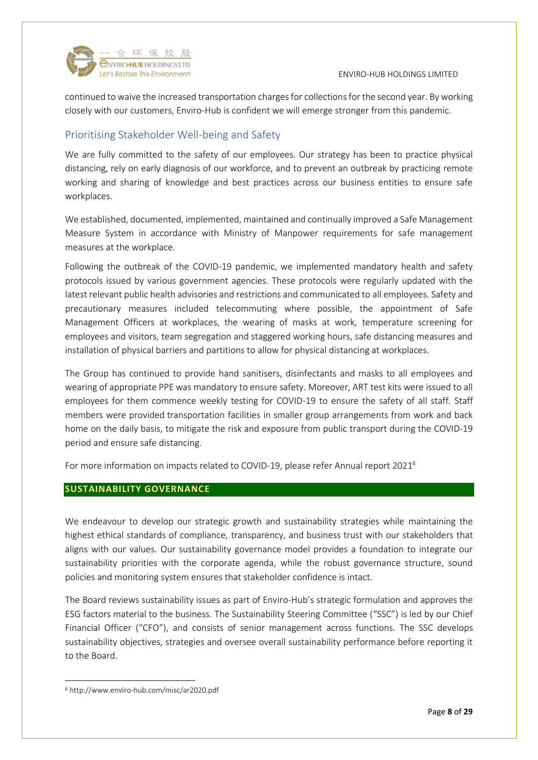

continued to waive the increased transportation charges for collections for the second year. By working closely with our customers, Enviro-Hub is confident we will emerge stronger from this pandemic.

# <span id="page-7-0"></span>Prioritising Stakeholder Well-being and Safety

We are fully committed to the safety of our employees. Our strategy has been to practice physical distancing, rely on early diagnosis of our workforce, and to prevent an outbreak by practicing remote working and sharing of knowledge and best practices across our business entities to ensure safe workplaces.

We established, documented, implemented, maintained and continually improved a Safe Management Measure System in accordance with Ministry of Manpower requirements for safe management measures at the workplace.

Following the outbreak of the COVID-19 pandemic, we implemented mandatory health and safety protocols issued by various government agencies. These protocols were regularly updated with the latest relevant public health advisories and restrictions and communicated to all employees. Safety and precautionary measures included telecommuting where possible, the appointment of Safe Management Officers at workplaces, the wearing of masks at work, temperature screening for employees and visitors, team segregation and staggered working hours, safe distancing measures and installation of physical barriers and partitions to allow for physical distancing at workplaces.

The Group has continued to provide hand sanitisers, disinfectants and masks to all employees and wearing of appropriate PPE was mandatory to ensure safety. Moreover, ART test kits were issued to all employees for them commence weekly testing for COVID-19 to ensure the safety of all staff. Staff members were provided transportation facilities in smaller group arrangements from work and back home on the daily basis, to mitigate the risk and exposure from public transport during the COVID-19 period and ensure safe distancing.

For more information on impacts related to COVID-19, please refer Annual report 2021<sup>6</sup>

## <span id="page-7-1"></span>**SUSTAINABILITY GOVERNANCE**

We endeavour to develop our strategic growth and sustainability strategies while maintaining the highest ethical standards of compliance, transparency, and business trust with our stakeholders that aligns with our values. Our sustainability governance model provides a foundation to integrate our sustainability priorities with the corporate agenda, while the robust governance structure, sound policies and monitoring system ensures that stakeholder confidence is intact.

The Board reviews sustainability issues as part of Enviro-Hub's strategic formulation and approves the ESG factors material to the business. The Sustainability Steering Committee ("SSC") is led by our Chief Financial Officer ("CFO"), and consists of senior management across functions. The SSC develops sustainability objectives, strategies and oversee overall sustainability performance before reporting it to the Board.

<sup>6</sup> http://www.enviro-hub.com/misc/ar2020.pdf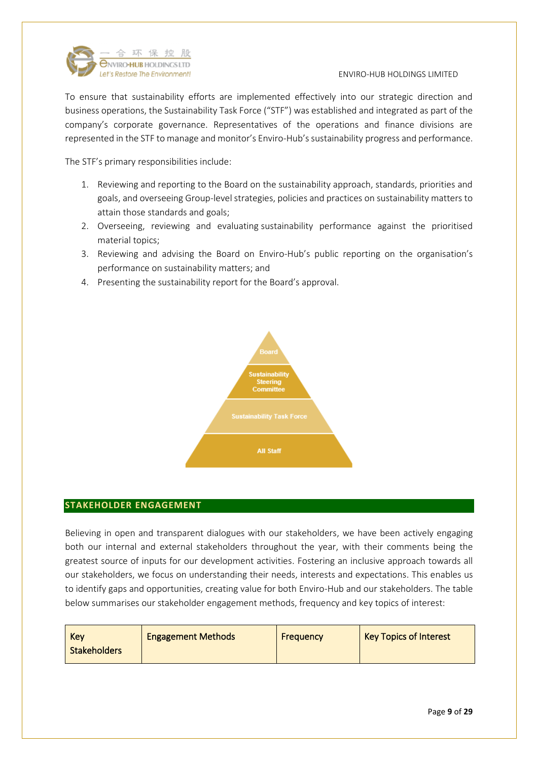

To ensure that sustainability efforts are implemented effectively into our strategic direction and business operations, the Sustainability Task Force ("STF") was established and integrated as part of the company's corporate governance. Representatives of the operations and finance divisions are represented in the STF to manage and monitor's Enviro-Hub's sustainability progress and performance.

The STF's primary responsibilities include:

- 1. Reviewing and reporting to the Board on the sustainability approach, standards, priorities and goals, and overseeing Group-level strategies, policies and practices on sustainability matters to attain those standards and goals;
- 2. Overseeing, reviewing and evaluating sustainability performance against the prioritised material topics;
- 3. Reviewing and advising the Board on Enviro-Hub's public reporting on the organisation's performance on sustainability matters; and
- 4. Presenting the sustainability report for the Board's approval.



## <span id="page-8-0"></span>**STAKEHOLDER ENGAGEMENT**

Believing in open and transparent dialogues with our stakeholders, we have been actively engaging both our internal and external stakeholders throughout the year, with their comments being the greatest source of inputs for our development activities. Fostering an inclusive approach towards all our stakeholders, we focus on understanding their needs, interests and expectations. This enables us to identify gaps and opportunities, creating value for both Enviro-Hub and our stakeholders. The table below summarises our stakeholder engagement methods, frequency and key topics of interest: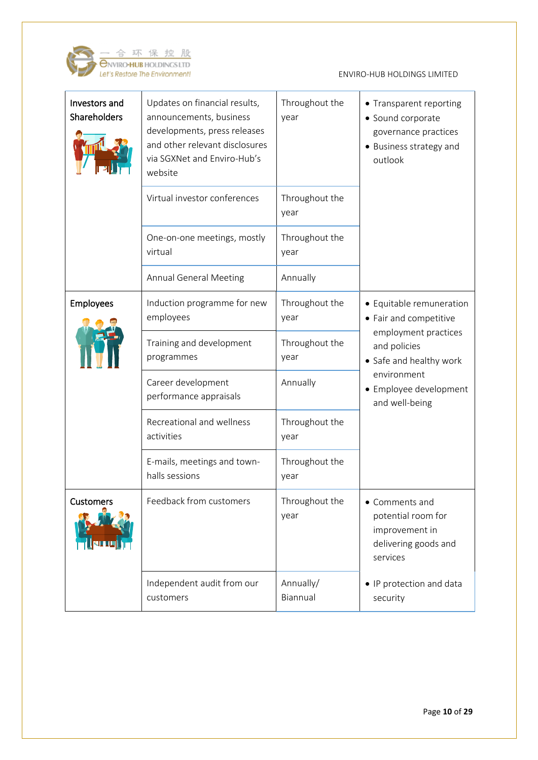

| Investors and<br>Shareholders | Updates on financial results,<br>announcements, business<br>developments, press releases<br>and other relevant disclosures<br>via SGXNet and Enviro-Hub's<br>website | Throughout the<br>year | • Transparent reporting<br>• Sound corporate<br>governance practices<br>• Business strategy and<br>outlook                 |  |
|-------------------------------|----------------------------------------------------------------------------------------------------------------------------------------------------------------------|------------------------|----------------------------------------------------------------------------------------------------------------------------|--|
|                               | Virtual investor conferences                                                                                                                                         | Throughout the<br>year |                                                                                                                            |  |
|                               | One-on-one meetings, mostly<br>virtual                                                                                                                               | Throughout the<br>year |                                                                                                                            |  |
|                               | <b>Annual General Meeting</b>                                                                                                                                        | Annually               |                                                                                                                            |  |
| Employees                     | Induction programme for new<br>employees                                                                                                                             | Throughout the<br>year | • Equitable remuneration<br>• Fair and competitive                                                                         |  |
|                               | Training and development<br>programmes                                                                                                                               | Throughout the<br>year | employment practices<br>and policies<br>• Safe and healthy work<br>environment<br>• Employee development<br>and well-being |  |
|                               | Career development<br>performance appraisals                                                                                                                         | Annually               |                                                                                                                            |  |
|                               | Recreational and wellness<br>activities                                                                                                                              | Throughout the<br>year |                                                                                                                            |  |
|                               | E-mails, meetings and town-<br>halls sessions                                                                                                                        | Throughout the<br>year |                                                                                                                            |  |
| <b>Customers</b>              | Feedback from customers                                                                                                                                              | Throughout the<br>year | • Comments and<br>potential room for<br>improvement in<br>delivering goods and<br>services                                 |  |
|                               | Independent audit from our<br>customers                                                                                                                              | Annually/<br>Biannual  | • IP protection and data<br>security                                                                                       |  |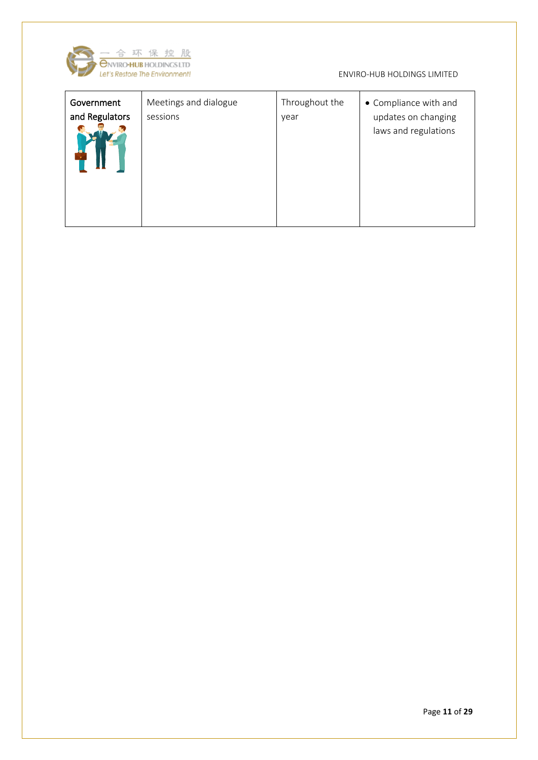

| Government<br>and Regulators | Meetings and dialogue<br>sessions | Throughout the<br>year | • Compliance with and<br>updates on changing<br>laws and regulations |
|------------------------------|-----------------------------------|------------------------|----------------------------------------------------------------------|
|------------------------------|-----------------------------------|------------------------|----------------------------------------------------------------------|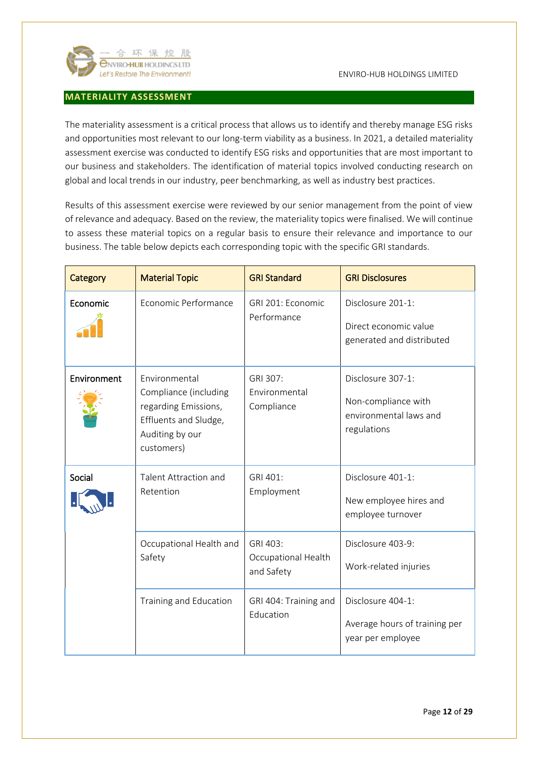

## <span id="page-11-0"></span>**MATERIALITY ASSESSMENT**

The materiality assessment is a critical process that allows us to identify and thereby manage ESG risks and opportunities most relevant to our long-term viability as a business. In 2021, a detailed materiality assessment exercise was conducted to identify ESG risks and opportunities that are most important to our business and stakeholders. The identification of material topics involved conducting research on global and local trends in our industry, peer benchmarking, as well as industry best practices.

Results of this assessment exercise were reviewed by our senior management from the point of view of relevance and adequacy. Based on the review, the materiality topics were finalised. We will continue to assess these material topics on a regular basis to ensure their relevance and importance to our business. The table below depicts each corresponding topic with the specific GRI standards.

| Category    | <b>Material Topic</b>                                                                                                    | <b>GRI Standard</b>                           | <b>GRI Disclosures</b>                                                            |
|-------------|--------------------------------------------------------------------------------------------------------------------------|-----------------------------------------------|-----------------------------------------------------------------------------------|
| Economic    | Economic Performance                                                                                                     | GRI 201: Economic<br>Performance              | Disclosure 201-1:<br>Direct economic value<br>generated and distributed           |
| Environment | Environmental<br>Compliance (including<br>regarding Emissions,<br>Effluents and Sludge,<br>Auditing by our<br>customers) | GRI 307:<br>Environmental<br>Compliance       | Disclosure 307-1:<br>Non-compliance with<br>environmental laws and<br>regulations |
| Social      | <b>Talent Attraction and</b><br>Retention                                                                                | GRI 401:<br>Employment                        | Disclosure 401-1:<br>New employee hires and<br>employee turnover                  |
|             | Occupational Health and<br>Safety                                                                                        | GRI 403:<br>Occupational Health<br>and Safety | Disclosure 403-9:<br>Work-related injuries                                        |
|             | Training and Education                                                                                                   | GRI 404: Training and<br>Education            | Disclosure 404-1:<br>Average hours of training per<br>year per employee           |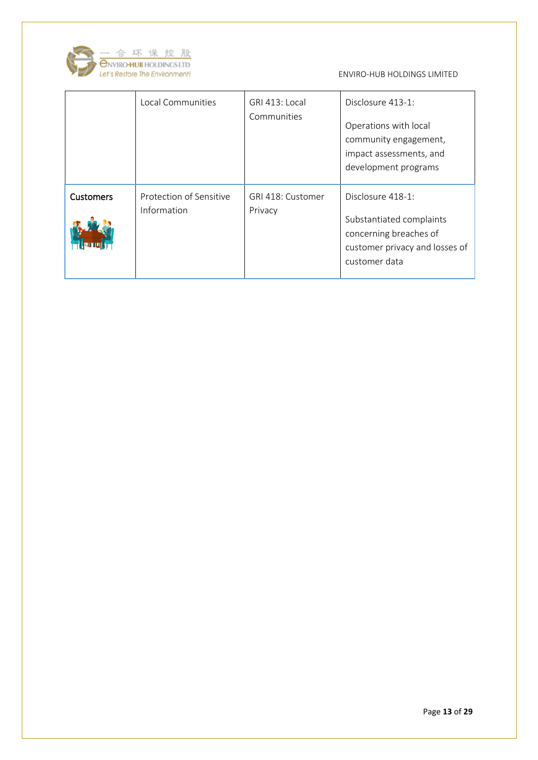

|                  | Local Communities                      | GRI 413: Local<br>Communities | Disclosure 413-1:<br>Operations with local<br>community engagement,<br>impact assessments, and<br>development programs     |
|------------------|----------------------------------------|-------------------------------|----------------------------------------------------------------------------------------------------------------------------|
| <b>Customers</b> | Protection of Sensitive<br>Information | GRI 418: Customer<br>Privacy  | Disclosure 418-1:<br>Substantiated complaints<br>concerning breaches of<br>customer privacy and losses of<br>customer data |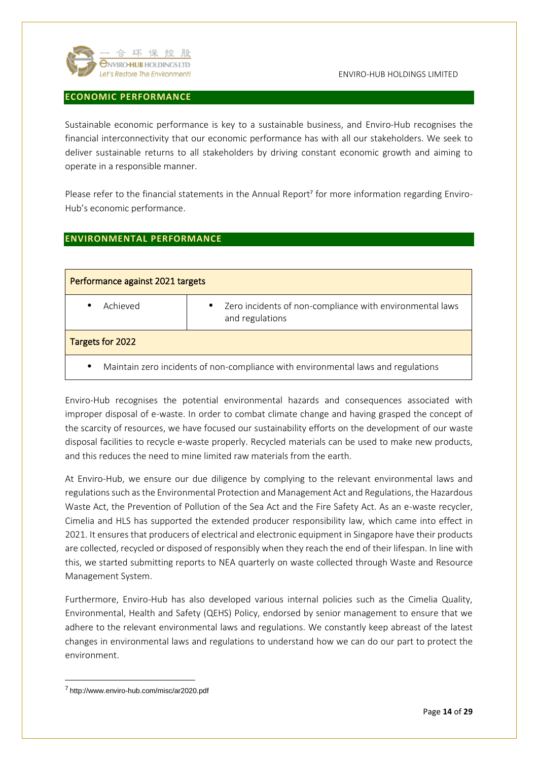

### <span id="page-13-0"></span>**ECONOMIC PERFORMANCE**

Sustainable economic performance is key to a sustainable business, and Enviro-Hub recognises the financial interconnectivity that our economic performance has with all our stakeholders. We seek to deliver sustainable returns to all stakeholders by driving constant economic growth and aiming to operate in a responsible manner.

Please refer to the financial statements in the Annual Report<sup>7</sup> for more information regarding Enviro-Hub's economic performance.

## <span id="page-13-1"></span>**ENVIRONMENTAL PERFORMANCE**

| Performance against 2021 targets                                                               |                                                                                          |
|------------------------------------------------------------------------------------------------|------------------------------------------------------------------------------------------|
| Achieved<br>٠                                                                                  | Zero incidents of non-compliance with environmental laws<br>$\bullet$<br>and regulations |
| Targets for 2022                                                                               |                                                                                          |
| Maintain zero incidents of non-compliance with environmental laws and regulations<br>$\bullet$ |                                                                                          |

Enviro-Hub recognises the potential environmental hazards and consequences associated with improper disposal of e-waste. In order to combat climate change and having grasped the concept of the scarcity of resources, we have focused our sustainability efforts on the development of our waste disposal facilities to recycle e-waste properly. Recycled materials can be used to make new products, and this reduces the need to mine limited raw materials from the earth.

At Enviro-Hub, we ensure our due diligence by complying to the relevant environmental laws and regulations such as the Environmental Protection and Management Act and Regulations, the Hazardous Waste Act, the Prevention of Pollution of the Sea Act and the Fire Safety Act. As an e-waste recycler, Cimelia and HLS has supported the extended producer responsibility law, which came into effect in 2021. It ensures that producers of electrical and electronic equipment in Singapore have their products are collected, recycled or disposed of responsibly when they reach the end of their lifespan. In line with this, we started submitting reports to NEA quarterly on waste collected through Waste and Resource Management System.

Furthermore, Enviro-Hub has also developed various internal policies such as the Cimelia Quality, Environmental, Health and Safety (QEHS) Policy, endorsed by senior management to ensure that we adhere to the relevant environmental laws and regulations. We constantly keep abreast of the latest changes in environmental laws and regulations to understand how we can do our part to protect the environment.

<sup>7</sup> http://www.enviro-hub.com/misc/ar2020.pdf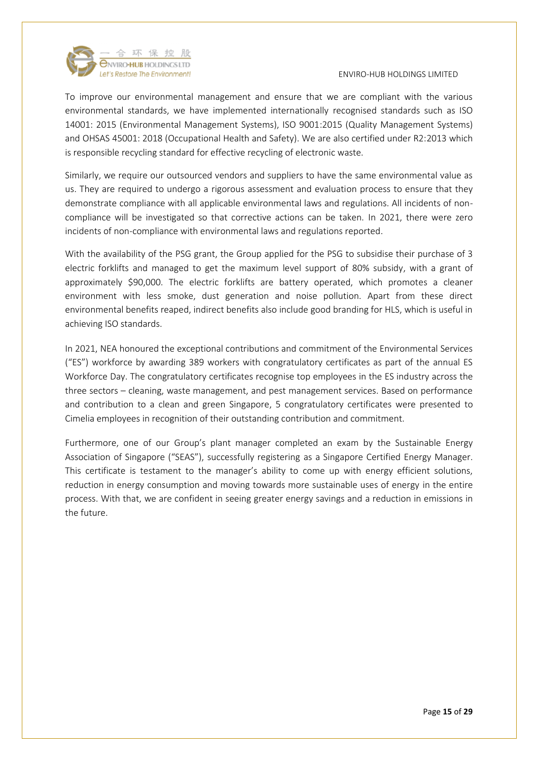

To improve our environmental management and ensure that we are compliant with the various environmental standards, we have implemented internationally recognised standards such as ISO 14001: 2015 (Environmental Management Systems), ISO 9001:2015 (Quality Management Systems) and OHSAS 45001: 2018 (Occupational Health and Safety). We are also certified under R2:2013 which is responsible recycling standard for effective recycling of electronic waste.

Similarly, we require our outsourced vendors and suppliers to have the same environmental value as us. They are required to undergo a rigorous assessment and evaluation process to ensure that they demonstrate compliance with all applicable environmental laws and regulations. All incidents of noncompliance will be investigated so that corrective actions can be taken. In 2021, there were zero incidents of non-compliance with environmental laws and regulations reported.

With the availability of the PSG grant, the Group applied for the PSG to subsidise their purchase of 3 electric forklifts and managed to get the maximum level support of 80% subsidy, with a grant of approximately \$90,000. The electric forklifts are battery operated, which promotes a cleaner environment with less smoke, dust generation and noise pollution. Apart from these direct environmental benefits reaped, indirect benefits also include good branding for HLS, which is useful in achieving ISO standards.

In 2021, NEA honoured the exceptional contributions and commitment of the Environmental Services ("ES") workforce by awarding 389 workers with congratulatory certificates as part of the annual ES Workforce Day. The congratulatory certificates recognise top employees in the ES industry across the three sectors – cleaning, waste management, and pest management services. Based on performance and contribution to a clean and green Singapore, 5 congratulatory certificates were presented to Cimelia employees in recognition of their outstanding contribution and commitment.

Furthermore, one of our Group's plant manager completed an exam by the Sustainable Energy Association of Singapore ("SEAS"), successfully registering as a Singapore Certified Energy Manager. This certificate is testament to the manager's ability to come up with energy efficient solutions, reduction in energy consumption and moving towards more sustainable uses of energy in the entire process. With that, we are confident in seeing greater energy savings and a reduction in emissions in the future.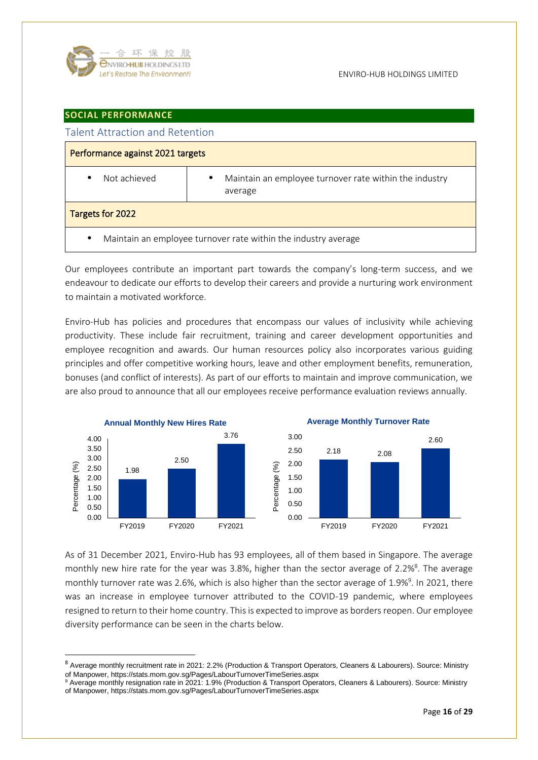

## <span id="page-15-0"></span>**SOCIAL PERFORMANCE**

<span id="page-15-1"></span>

| <b>Talent Attraction and Retention</b>                                      |                                                                        |
|-----------------------------------------------------------------------------|------------------------------------------------------------------------|
| Performance against 2021 targets                                            |                                                                        |
| Not achieved<br>$\bullet$                                                   | Maintain an employee turnover rate within the industry<br>٠<br>average |
| Targets for 2022                                                            |                                                                        |
| Maintain an employee turnover rate within the industry average<br>$\bullet$ |                                                                        |

Our employees contribute an important part towards the company's long-term success, and we endeavour to dedicate our efforts to develop their careers and provide a nurturing work environment to maintain a motivated workforce.

Enviro-Hub has policies and procedures that encompass our values of inclusivity while achieving productivity. These include fair recruitment, training and career development opportunities and employee recognition and awards. Our human resources policy also incorporates various guiding principles and offer competitive working hours, leave and other employment benefits, remuneration, bonuses (and conflict of interests). As part of our efforts to maintain and improve communication, we are also proud to announce that all our employees receive performance evaluation reviews annually.



As of 31 December 2021, Enviro-Hub has 93 employees, all of them based in Singapore. The average monthly new hire rate for the year was 3.8%, higher than the sector average of 2.2% 8 . The average monthly turnover rate was 2.6%, which is also higher than the sector average of 1.9%<sup>9</sup>. In 2021, there was an increase in employee turnover attributed to the COVID-19 pandemic, where employees resigned to return to their home country. This is expected to improve as borders reopen. Our employee diversity performance can be seen in the charts below.

<sup>8</sup> Average monthly recruitment rate in 2021: 2.2% (Production & Transport Operators, Cleaners & Labourers). Source: Ministry of Manpower, https://stats.mom.gov.sg/Pages/LabourTurnoverTimeSeries.aspx

<sup>&</sup>lt;sup>9</sup> Average monthly resignation rate in 2021: 1.9% (Production & Transport Operators, Cleaners & Labourers). Source: Ministry of Manpower, https://stats.mom.gov.sg/Pages/LabourTurnoverTimeSeries.aspx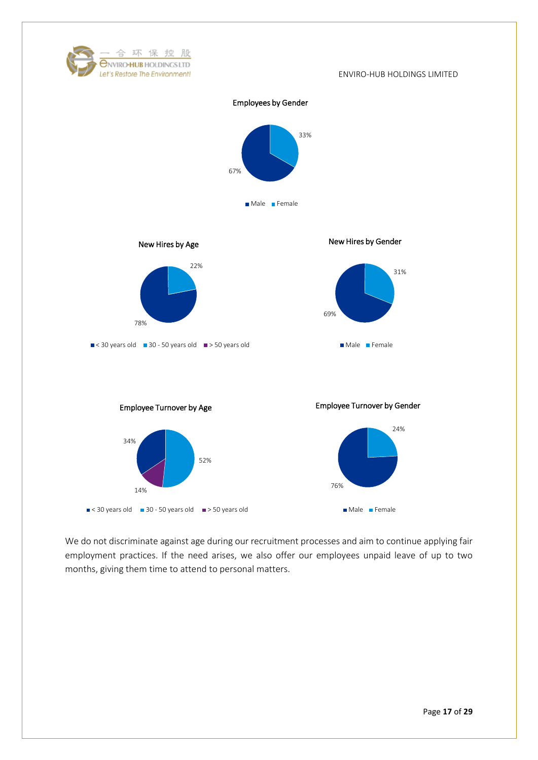

We do not discriminate against age during our recruitment processes and aim to continue applying fair employment practices. If the need arises, we also offer our employees unpaid leave of up to two months, giving them time to attend to personal matters.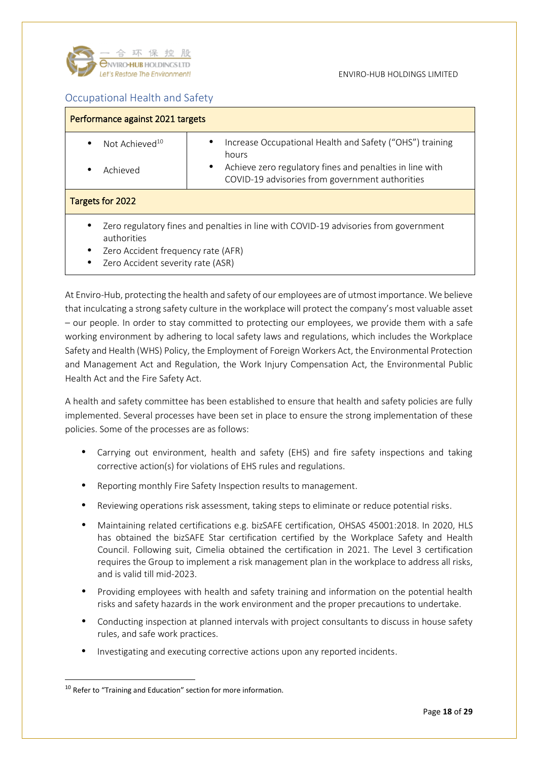![](_page_17_Picture_0.jpeg)

# <span id="page-17-0"></span>Occupational Health and Safety

| Performance against 2021 targets                                                                                                                                                              |                                                                                                                                                                                            |  |
|-----------------------------------------------------------------------------------------------------------------------------------------------------------------------------------------------|--------------------------------------------------------------------------------------------------------------------------------------------------------------------------------------------|--|
| Not Achieved <sup>10</sup><br>$\bullet$<br>Achieved<br>٠                                                                                                                                      | Increase Occupational Health and Safety ("OHS") training<br>٠<br>hours<br>Achieve zero regulatory fines and penalties in line with<br>٠<br>COVID-19 advisories from government authorities |  |
| Targets for 2022                                                                                                                                                                              |                                                                                                                                                                                            |  |
| Zero regulatory fines and penalties in line with COVID-19 advisories from government<br>٠<br>authorities<br>Zero Accident frequency rate (AFR)<br>٠<br>Zero Accident severity rate (ASR)<br>٠ |                                                                                                                                                                                            |  |

At Enviro-Hub, protecting the health and safety of our employees are of utmost importance. We believe that inculcating a strong safety culture in the workplace will protect the company's most valuable asset – our people. In order to stay committed to protecting our employees, we provide them with a safe working environment by adhering to local safety laws and regulations, which includes the Workplace Safety and Health (WHS) Policy, the Employment of Foreign Workers Act, the Environmental Protection and Management Act and Regulation, the Work Injury Compensation Act, the Environmental Public Health Act and the Fire Safety Act.

A health and safety committee has been established to ensure that health and safety policies are fully implemented. Several processes have been set in place to ensure the strong implementation of these policies. Some of the processes are as follows:

- Carrying out environment, health and safety (EHS) and fire safety inspections and taking corrective action(s) for violations of EHS rules and regulations.
- Reporting monthly Fire Safety Inspection results to management.
- Reviewing operations risk assessment, taking steps to eliminate or reduce potential risks.
- Maintaining related certifications e.g. bizSAFE certification, OHSAS 45001:2018. In 2020, HLS has obtained the bizSAFE Star certification certified by the Workplace Safety and Health Council. Following suit, Cimelia obtained the certification in 2021. The Level 3 certification requires the Group to implement a risk management plan in the workplace to address all risks, and is valid till mid-2023.
- Providing employees with health and safety training and information on the potential health risks and safety hazards in the work environment and the proper precautions to undertake.
- Conducting inspection at planned intervals with project consultants to discuss in house safety rules, and safe work practices.
- Investigating and executing corrective actions upon any reported incidents.

<sup>&</sup>lt;sup>10</sup> Refer to "Training and Education" section for more information.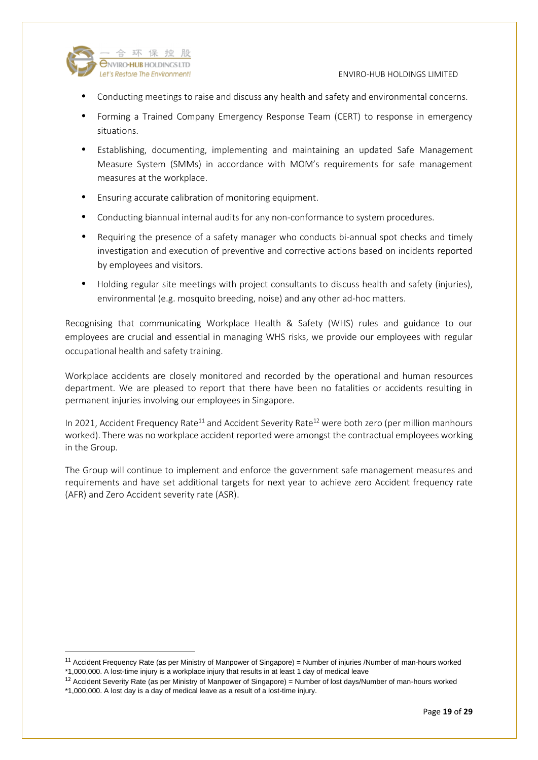![](_page_18_Picture_0.jpeg)

#### Let's Restore The Environment! The Contract of the Contract of the Contract of the Contract of the Contract of the Contract of the Contract of the Contract of the Contract of the Contract of the Contract of the Contract of

- Conducting meetings to raise and discuss any health and safety and environmental concerns.
- Forming a Trained Company Emergency Response Team (CERT) to response in emergency situations.
- Establishing, documenting, implementing and maintaining an updated Safe Management Measure System (SMMs) in accordance with MOM's requirements for safe management measures at the workplace.
- Ensuring accurate calibration of monitoring equipment.
- Conducting biannual internal audits for any non-conformance to system procedures.
- Requiring the presence of a safety manager who conducts bi-annual spot checks and timely investigation and execution of preventive and corrective actions based on incidents reported by employees and visitors.
- Holding regular site meetings with project consultants to discuss health and safety (injuries), environmental (e.g. mosquito breeding, noise) and any other ad-hoc matters.

Recognising that communicating Workplace Health & Safety (WHS) rules and guidance to our employees are crucial and essential in managing WHS risks, we provide our employees with regular occupational health and safety training.

Workplace accidents are closely monitored and recorded by the operational and human resources department. We are pleased to report that there have been no fatalities or accidents resulting in permanent injuries involving our employees in Singapore.

In 2021, Accident Frequency Rate<sup>11</sup> and Accident Severity Rate<sup>12</sup> were both zero (per million manhours worked). There was no workplace accident reported were amongst the contractual employees working in the Group.

The Group will continue to implement and enforce the government safe management measures and requirements and have set additional targets for next year to achieve zero Accident frequency rate (AFR) and Zero Accident severity rate (ASR).

 $11$  Accident Frequency Rate (as per Ministry of Manpower of Singapore) = Number of injuries /Number of man-hours worked \*1,000,000. A lost-time injury is a workplace injury that results in at least 1 day of medical leave

 $12$  Accident Severity Rate (as per Ministry of Manpower of Singapore) = Number of lost days/Number of man-hours worked

<sup>\*1,000,000.</sup> A lost day is a day of medical leave as a result of a lost-time injury.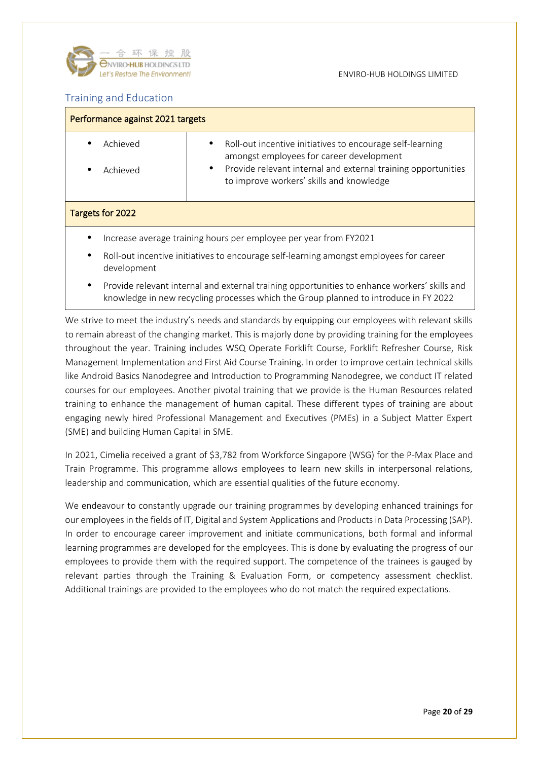![](_page_19_Picture_0.jpeg)

# <span id="page-19-0"></span>Training and Education

| Performance against 2021 targets                                  |                                                                                                                                                                                                                                      |
|-------------------------------------------------------------------|--------------------------------------------------------------------------------------------------------------------------------------------------------------------------------------------------------------------------------------|
| Achieved<br>Achieved                                              | Roll-out incentive initiatives to encourage self-learning<br>٠<br>amongst employees for career development<br>Provide relevant internal and external training opportunities<br>$\bullet$<br>to improve workers' skills and knowledge |
| Targets for 2022                                                  |                                                                                                                                                                                                                                      |
| Increase average training hours per employee per year from FY2021 |                                                                                                                                                                                                                                      |
| ٠<br>development                                                  | Roll-out incentive initiatives to encourage self-learning amongst employees for career                                                                                                                                               |
|                                                                   |                                                                                                                                                                                                                                      |

 Provide relevant internal and external training opportunities to enhance workers' skills and knowledge in new recycling processes which the Group planned to introduce in FY 2022

We strive to meet the industry's needs and standards by equipping our employees with relevant skills to remain abreast of the changing market. This is majorly done by providing training for the employees throughout the year. Training includes WSQ Operate Forklift Course, Forklift Refresher Course, Risk Management Implementation and First Aid Course Training. In order to improve certain technical skills like Android Basics Nanodegree and Introduction to Programming Nanodegree, we conduct IT related courses for our employees. Another pivotal training that we provide is the Human Resources related training to enhance the management of human capital. These different types of training are about engaging newly hired Professional Management and Executives (PMEs) in a Subject Matter Expert (SME) and building Human Capital in SME.

In 2021, Cimelia received a grant of \$3,782 from Workforce Singapore (WSG) for the P-Max Place and Train Programme. This programme allows employees to learn new skills in interpersonal relations, leadership and communication, which are essential qualities of the future economy.

We endeavour to constantly upgrade our training programmes by developing enhanced trainings for our employees in the fields of IT, Digital and System Applications and Products in Data Processing (SAP). In order to encourage career improvement and initiate communications, both formal and informal learning programmes are developed for the employees. This is done by evaluating the progress of our employees to provide them with the required support. The competence of the trainees is gauged by relevant parties through the Training & Evaluation Form, or competency assessment checklist. Additional trainings are provided to the employees who do not match the required expectations.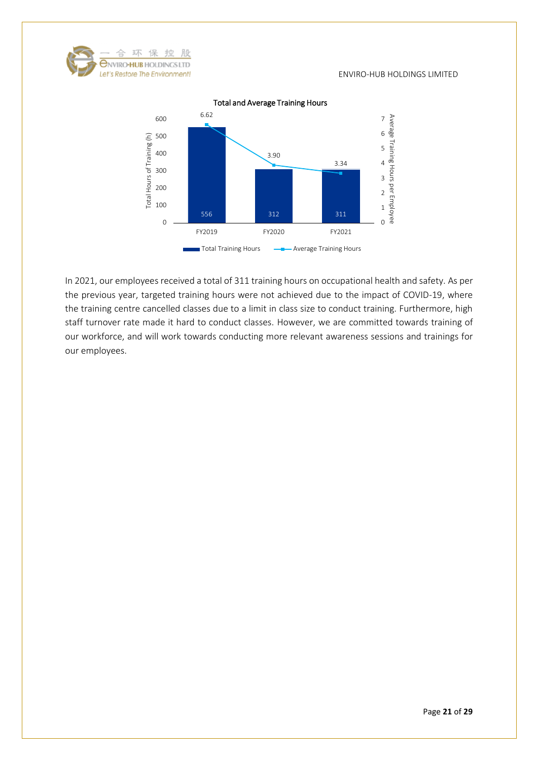![](_page_20_Picture_0.jpeg)

![](_page_20_Figure_2.jpeg)

Total and Average Training Hours

In 2021, our employees received a total of 311 training hours on occupational health and safety. As per the previous year, targeted training hours were not achieved due to the impact of COVID-19, where the training centre cancelled classes due to a limit in class size to conduct training. Furthermore, high staff turnover rate made it hard to conduct classes. However, we are committed towards training of our workforce, and will work towards conducting more relevant awareness sessions and trainings for our employees.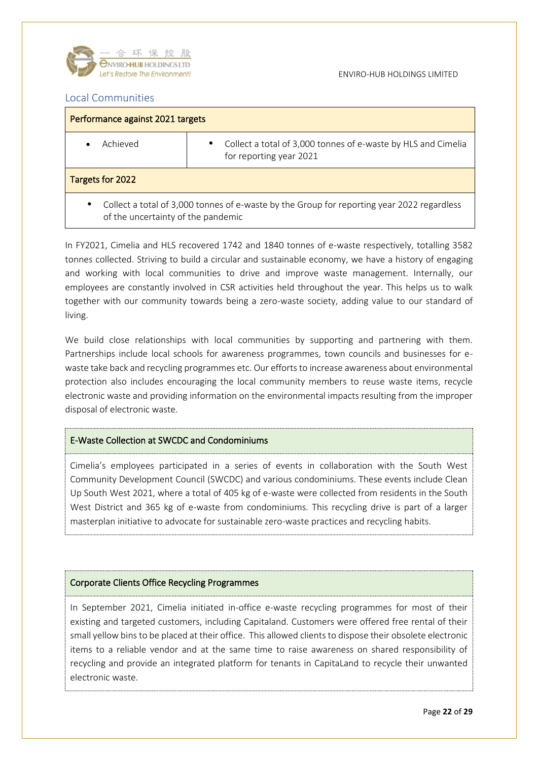![](_page_21_Picture_0.jpeg)

## <span id="page-21-0"></span>Local Communities

| Performance against 2021 targets                                                                                                              |                                                                                               |  |
|-----------------------------------------------------------------------------------------------------------------------------------------------|-----------------------------------------------------------------------------------------------|--|
| Achieved                                                                                                                                      | Collect a total of 3,000 tonnes of e-waste by HLS and Cimelia<br>٠<br>for reporting year 2021 |  |
| Targets for 2022                                                                                                                              |                                                                                               |  |
| Collect a total of 3,000 tonnes of e-waste by the Group for reporting year 2022 regardless<br>$\bullet$<br>of the uncertainty of the pandemic |                                                                                               |  |

In FY2021, Cimelia and HLS recovered 1742 and 1840 tonnes of e-waste respectively, totalling 3582 tonnes collected. Striving to build a circular and sustainable economy, we have a history of engaging and working with local communities to drive and improve waste management. Internally, our employees are constantly involved in CSR activities held throughout the year. This helps us to walk together with our community towards being a zero-waste society, adding value to our standard of living.

We build close relationships with local communities by supporting and partnering with them. Partnerships include local schools for awareness programmes, town councils and businesses for ewaste take back and recycling programmes etc. Our efforts to increase awareness about environmental protection also includes encouraging the local community members to reuse waste items, recycle electronic waste and providing information on the environmental impacts resulting from the improper disposal of electronic waste.

#### E-Waste Collection at SWCDC and Condominiums

Cimelia's employees participated in a series of events in collaboration with the South West Community Development Council (SWCDC) and various condominiums. These events include Clean Up South West 2021, where a total of 405 kg of e-waste were collected from residents in the South West District and 365 kg of e-waste from condominiums. This recycling drive is part of a larger masterplan initiative to advocate for sustainable zero-waste practices and recycling habits.

## Corporate Clients Office Recycling Programmes

In September 2021, Cimelia initiated in-office e-waste recycling programmes for most of their existing and targeted customers, including Capitaland. Customers were offered free rental of their small yellow bins to be placed at their office. This allowed clients to dispose their obsolete electronic items to a reliable vendor and at the same time to raise awareness on shared responsibility of recycling and provide an integrated platform for tenants in CapitaLand to recycle their unwanted electronic waste.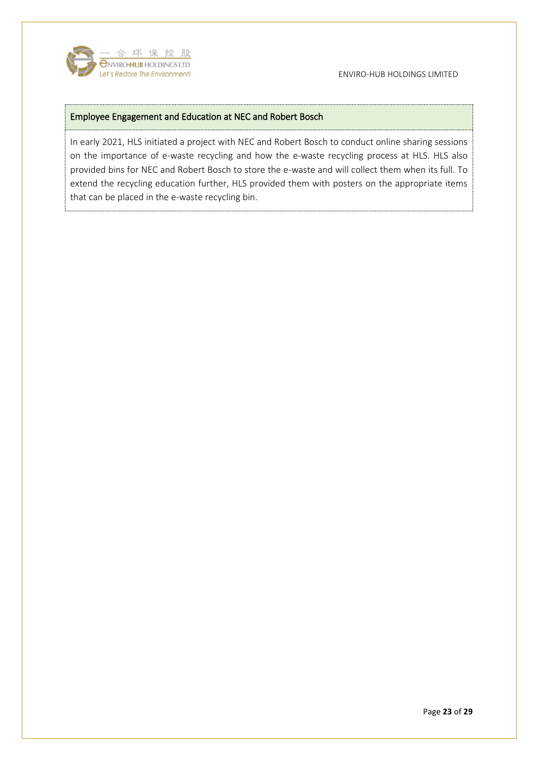![](_page_22_Picture_0.jpeg)

#### Let's Restore The Environment! The Contract of the Contract of the Environment! The Contract of the Environment of the Contract of the Environment of the Contract of the Environment!

## Employee Engagement and Education at NEC and Robert Bosch

In early 2021, HLS initiated a project with NEC and Robert Bosch to conduct online sharing sessions on the importance of e-waste recycling and how the e-waste recycling process at HLS. HLS also provided bins for NEC and Robert Bosch to store the e-waste and will collect them when its full. To extend the recycling education further, HLS provided them with posters on the appropriate items that can be placed in the e-waste recycling bin.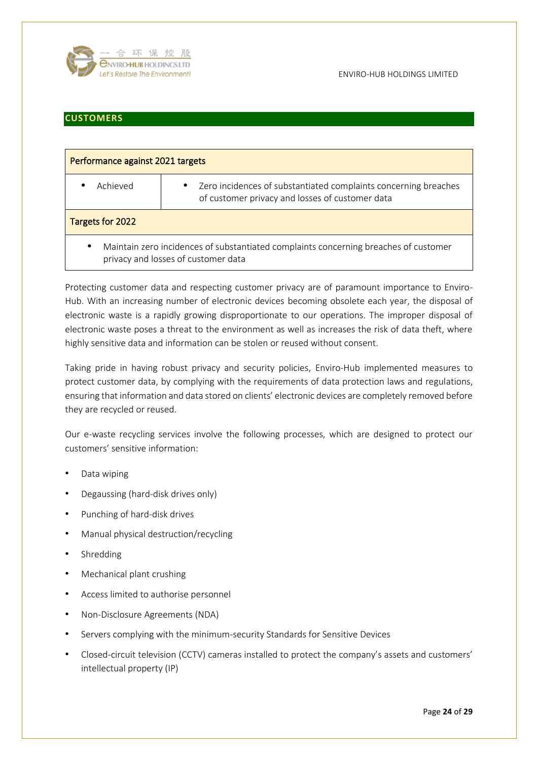![](_page_23_Picture_0.jpeg)

## <span id="page-23-0"></span>**CUSTOMERS**

| Performance against 2021 targets                                                                                                         |                                                                                                                                 |  |
|------------------------------------------------------------------------------------------------------------------------------------------|---------------------------------------------------------------------------------------------------------------------------------|--|
| Achieved                                                                                                                                 | Zero incidences of substantiated complaints concerning breaches<br>$\bullet$<br>of customer privacy and losses of customer data |  |
| Targets for 2022                                                                                                                         |                                                                                                                                 |  |
| Maintain zero incidences of substantiated complaints concerning breaches of customer<br>$\bullet$<br>privacy and losses of customer data |                                                                                                                                 |  |

Protecting customer data and respecting customer privacy are of paramount importance to Enviro-Hub. With an increasing number of electronic devices becoming obsolete each year, the disposal of electronic waste is a rapidly growing disproportionate to our operations. The improper disposal of electronic waste poses a threat to the environment as well as increases the risk of data theft, where highly sensitive data and information can be stolen or reused without consent.

Taking pride in having robust privacy and security policies, Enviro-Hub implemented measures to protect customer data, by complying with the requirements of data protection laws and regulations, ensuring that information and data stored on clients' electronic devices are completely removed before they are recycled or reused.

Our e-waste recycling services involve the following processes, which are designed to protect our customers' sensitive information:

- Data wiping
- Degaussing (hard-disk drives only)
- Punching of hard-disk drives
- Manual physical destruction/recycling
- Shredding
- Mechanical plant crushing
- Access limited to authorise personnel
- Non-Disclosure Agreements (NDA)
- Servers complying with the minimum-security Standards for Sensitive Devices
- Closed-circuit television (CCTV) cameras installed to protect the company's assets and customers' intellectual property (IP)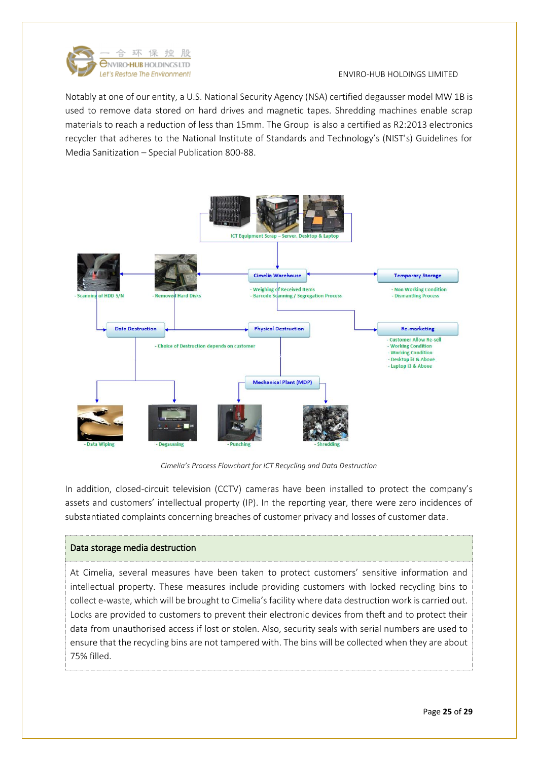![](_page_24_Picture_0.jpeg)

Notably at one of our entity, a U.S. National Security Agency (NSA) certified degausser model MW 1B is used to remove data stored on hard drives and magnetic tapes. Shredding machines enable scrap materials to reach a reduction of less than 15mm. The Group is also a certified as R2:2013 electronics recycler that adheres to the National Institute of Standards and Technology's (NIST's) Guidelines for Media Sanitization – Special Publication 800-88.

![](_page_24_Figure_3.jpeg)

*Cimelia's Process Flowchart for ICT Recycling and Data Destruction*

In addition, closed-circuit television (CCTV) cameras have been installed to protect the company's assets and customers' intellectual property (IP). In the reporting year, there were zero incidences of substantiated complaints concerning breaches of customer privacy and losses of customer data.

## Data storage media destruction

At Cimelia, several measures have been taken to protect customers' sensitive information and intellectual property. These measures include providing customers with locked recycling bins to collect e-waste, which will be brought to Cimelia's facility where data destruction work is carried out. Locks are provided to customers to prevent their electronic devices from theft and to protect their data from unauthorised access if lost or stolen. Also, security seals with serial numbers are used to ensure that the recycling bins are not tampered with. The bins will be collected when they are about 75% filled.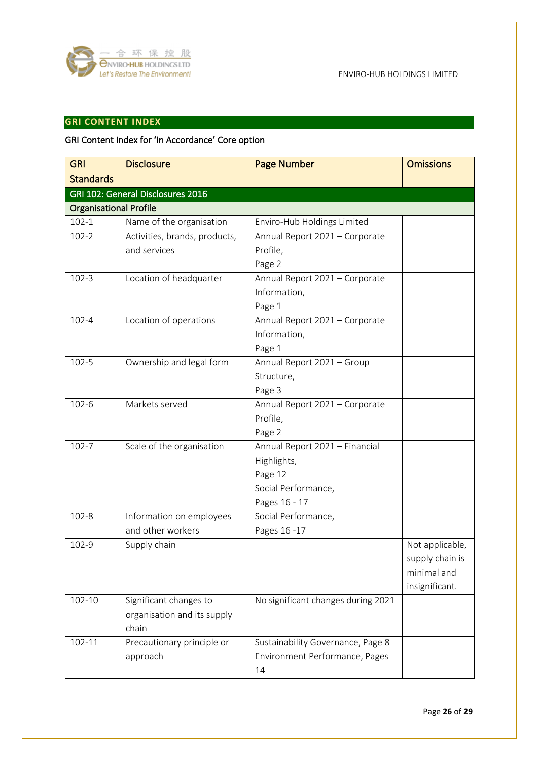![](_page_25_Picture_0.jpeg)

# <span id="page-25-0"></span>**GRI CONTENT INDEX**

# GRI Content Index for 'In Accordance' Core option

| <b>GRI</b>                    | <b>Disclosure</b>                 | <b>Page Number</b>                 | <b>Omissions</b> |
|-------------------------------|-----------------------------------|------------------------------------|------------------|
| <b>Standards</b>              |                                   |                                    |                  |
|                               | GRI 102: General Disclosures 2016 |                                    |                  |
| <b>Organisational Profile</b> |                                   |                                    |                  |
| $102 - 1$                     | Name of the organisation          | Enviro-Hub Holdings Limited        |                  |
| $102 - 2$                     | Activities, brands, products,     | Annual Report 2021 - Corporate     |                  |
|                               | and services                      | Profile,                           |                  |
|                               |                                   | Page 2                             |                  |
| $102 - 3$                     | Location of headquarter           | Annual Report 2021 - Corporate     |                  |
|                               |                                   | Information,                       |                  |
|                               |                                   | Page 1                             |                  |
| $102 - 4$                     | Location of operations            | Annual Report 2021 - Corporate     |                  |
|                               |                                   | Information,                       |                  |
|                               |                                   | Page 1                             |                  |
| $102 - 5$                     | Ownership and legal form          | Annual Report 2021 - Group         |                  |
|                               |                                   | Structure,                         |                  |
|                               |                                   | Page 3                             |                  |
| $102 - 6$                     | Markets served                    | Annual Report 2021 - Corporate     |                  |
|                               |                                   | Profile,                           |                  |
|                               |                                   | Page 2                             |                  |
| $102 - 7$                     | Scale of the organisation         | Annual Report 2021 - Financial     |                  |
|                               |                                   | Highlights,                        |                  |
|                               |                                   | Page 12                            |                  |
|                               |                                   | Social Performance,                |                  |
|                               |                                   | Pages 16 - 17                      |                  |
| $102 - 8$                     | Information on employees          | Social Performance,                |                  |
|                               | and other workers                 | Pages 16-17                        |                  |
| 102-9                         | Supply chain                      |                                    | Not applicable,  |
|                               |                                   |                                    | supply chain is  |
|                               |                                   |                                    | minimal and      |
|                               |                                   |                                    | insignificant.   |
| 102-10                        | Significant changes to            | No significant changes during 2021 |                  |
|                               | organisation and its supply       |                                    |                  |
|                               | chain                             |                                    |                  |
| 102-11                        | Precautionary principle or        | Sustainability Governance, Page 8  |                  |
|                               | approach                          | Environment Performance, Pages     |                  |
|                               |                                   | 14                                 |                  |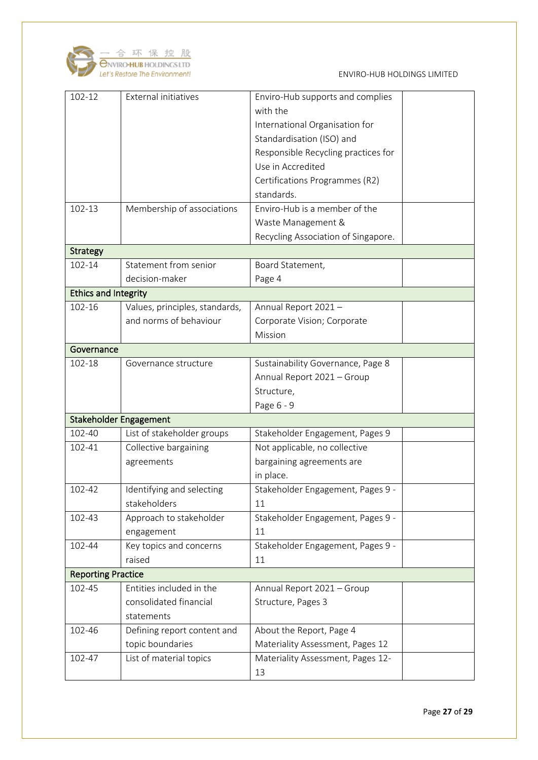![](_page_26_Picture_0.jpeg)

| 102-12                        | <b>External initiatives</b>                                      | Enviro-Hub supports and complies<br>with the<br>International Organisation for<br>Standardisation (ISO) and<br>Responsible Recycling practices for<br>Use in Accredited<br>Certifications Programmes (R2)<br>standards. |  |
|-------------------------------|------------------------------------------------------------------|-------------------------------------------------------------------------------------------------------------------------------------------------------------------------------------------------------------------------|--|
| 102-13                        | Membership of associations                                       | Enviro-Hub is a member of the<br>Waste Management &<br>Recycling Association of Singapore.                                                                                                                              |  |
| <b>Strategy</b>               |                                                                  |                                                                                                                                                                                                                         |  |
| 102-14                        | Statement from senior<br>decision-maker                          | Board Statement,<br>Page 4                                                                                                                                                                                              |  |
| <b>Ethics and Integrity</b>   |                                                                  |                                                                                                                                                                                                                         |  |
| 102-16                        | Values, principles, standards,<br>and norms of behaviour         | Annual Report 2021-<br>Corporate Vision; Corporate<br>Mission                                                                                                                                                           |  |
| Governance                    |                                                                  |                                                                                                                                                                                                                         |  |
|                               |                                                                  |                                                                                                                                                                                                                         |  |
| 102-18                        | Governance structure                                             | Sustainability Governance, Page 8<br>Annual Report 2021 - Group<br>Structure,<br>Page 6 - 9                                                                                                                             |  |
| <b>Stakeholder Engagement</b> |                                                                  |                                                                                                                                                                                                                         |  |
| 102-40                        | List of stakeholder groups                                       | Stakeholder Engagement, Pages 9                                                                                                                                                                                         |  |
| 102-41                        | Collective bargaining<br>agreements                              | Not applicable, no collective<br>bargaining agreements are<br>in place.                                                                                                                                                 |  |
| 102-42                        | Identifying and selecting<br>stakeholders                        | Stakeholder Engagement, Pages 9<br>11                                                                                                                                                                                   |  |
| 102-43                        | Approach to stakeholder<br>engagement                            | Stakeholder Engagement, Pages 9 -<br>11                                                                                                                                                                                 |  |
| 102-44                        | Key topics and concerns<br>raised                                | Stakeholder Engagement, Pages 9 -<br>11                                                                                                                                                                                 |  |
| <b>Reporting Practice</b>     |                                                                  |                                                                                                                                                                                                                         |  |
| 102-45                        | Entities included in the<br>consolidated financial<br>statements | Annual Report 2021 - Group<br>Structure, Pages 3                                                                                                                                                                        |  |
| 102-46                        | Defining report content and<br>topic boundaries                  | About the Report, Page 4<br>Materiality Assessment, Pages 12                                                                                                                                                            |  |
| 102-47                        | List of material topics                                          | Materiality Assessment, Pages 12-<br>13                                                                                                                                                                                 |  |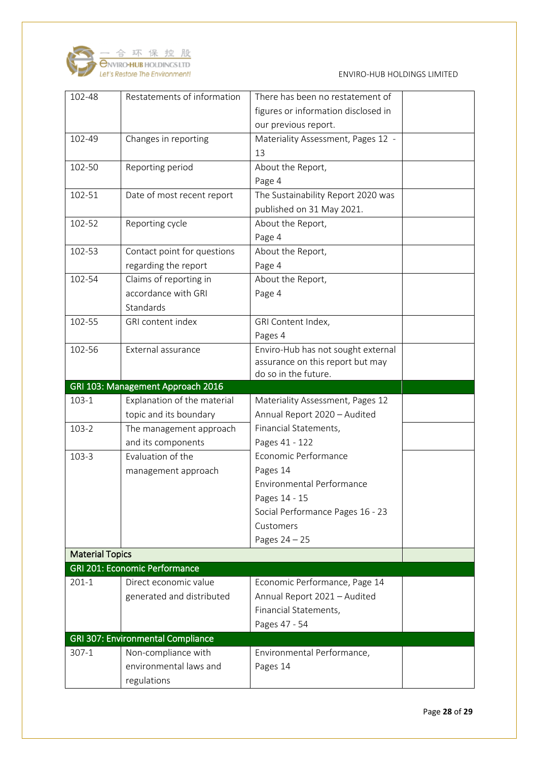![](_page_27_Picture_0.jpeg)

| 102-48                 | Restatements of information                                      | There has been no restatement of    |  |
|------------------------|------------------------------------------------------------------|-------------------------------------|--|
|                        |                                                                  | figures or information disclosed in |  |
|                        |                                                                  | our previous report.                |  |
| 102-49                 | Changes in reporting                                             | Materiality Assessment, Pages 12 -  |  |
|                        |                                                                  | 13                                  |  |
| 102-50                 | Reporting period                                                 | About the Report,                   |  |
|                        |                                                                  | Page 4                              |  |
| 102-51                 | Date of most recent report                                       | The Sustainability Report 2020 was  |  |
|                        |                                                                  | published on 31 May 2021.           |  |
| 102-52                 | Reporting cycle                                                  | About the Report,                   |  |
|                        |                                                                  | Page 4                              |  |
| 102-53                 | Contact point for questions                                      | About the Report,                   |  |
|                        | regarding the report                                             | Page 4                              |  |
| 102-54                 | Claims of reporting in                                           | About the Report,                   |  |
|                        | accordance with GRI                                              | Page 4                              |  |
|                        | Standards                                                        |                                     |  |
| 102-55                 | GRI content index                                                | GRI Content Index,                  |  |
|                        |                                                                  | Pages 4                             |  |
| 102-56                 | External assurance                                               | Enviro-Hub has not sought external  |  |
|                        |                                                                  | assurance on this report but may    |  |
|                        |                                                                  | do so in the future.                |  |
| $103 - 1$              | GRI 103: Management Approach 2016<br>Explanation of the material | Materiality Assessment, Pages 12    |  |
|                        | topic and its boundary                                           | Annual Report 2020 - Audited        |  |
| $103 - 2$              | The management approach                                          | Financial Statements,               |  |
|                        | and its components                                               | Pages 41 - 122                      |  |
| $103 - 3$              | Evaluation of the                                                | Economic Performance                |  |
|                        | management approach                                              | Pages 14                            |  |
|                        |                                                                  |                                     |  |
|                        |                                                                  |                                     |  |
|                        |                                                                  | <b>Environmental Performance</b>    |  |
|                        |                                                                  | Pages 14 - 15                       |  |
|                        |                                                                  | Social Performance Pages 16 - 23    |  |
|                        |                                                                  | Customers                           |  |
|                        |                                                                  | Pages $24 - 25$                     |  |
| <b>Material Topics</b> |                                                                  |                                     |  |
|                        | <b>GRI 201: Economic Performance</b>                             |                                     |  |
| $201-1$                | Direct economic value                                            | Economic Performance, Page 14       |  |
|                        | generated and distributed                                        | Annual Report 2021 - Audited        |  |
|                        |                                                                  | Financial Statements,               |  |
|                        |                                                                  | Pages 47 - 54                       |  |
|                        | GRI 307: Environmental Compliance                                |                                     |  |
| $307-1$                | Non-compliance with                                              | Environmental Performance,          |  |
|                        | environmental laws and<br>regulations                            | Pages 14                            |  |